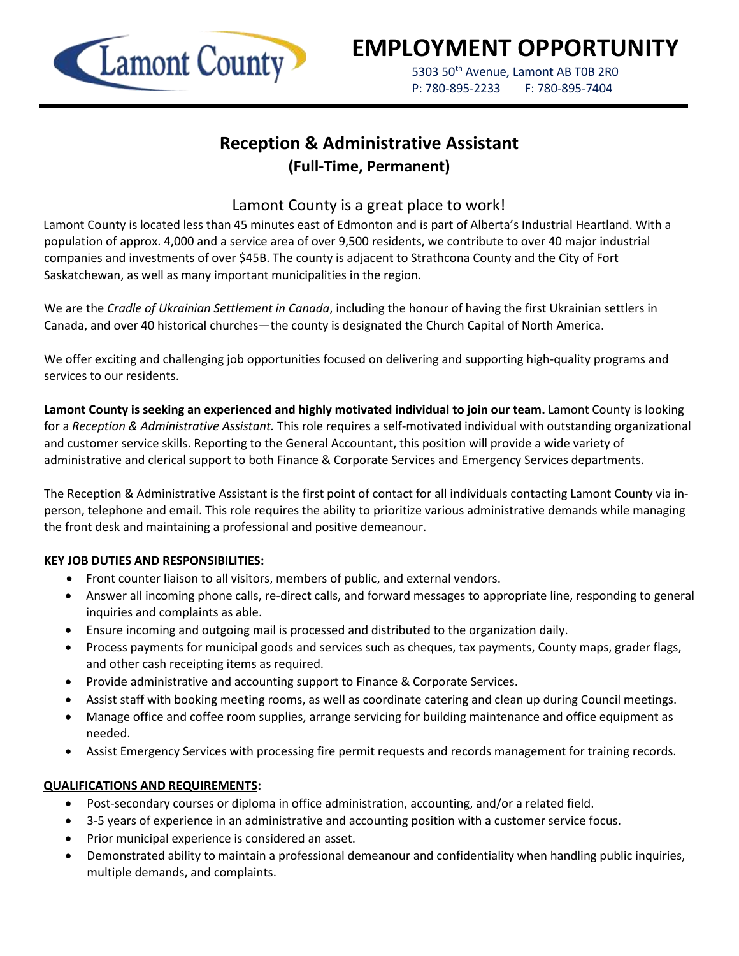

# **EMPLOYMENT OPPORTUNITY**

5303 50<sup>th</sup> Avenue, Lamont AB T0B 2R0 P: 780-895-2233 F: 780-895-7404

## **Reception & Administrative Assistant (Full-Time, Permanent)**

### Lamont County is a great place to work!

Lamont County is located less than 45 minutes east of Edmonton and is part of Alberta's Industrial Heartland. With a population of approx. 4,000 and a service area of over 9,500 residents, we contribute to over 40 major industrial companies and investments of over \$45B. The county is adjacent to Strathcona County and the City of Fort Saskatchewan, as well as many important municipalities in the region.

We are the *Cradle of Ukrainian Settlement in Canada*, including the honour of having the first Ukrainian settlers in Canada, and over 40 historical churches—the county is designated the Church Capital of North America.

We offer exciting and challenging job opportunities focused on delivering and supporting high-quality programs and services to our residents.

**Lamont County is seeking an experienced and highly motivated individual to join our team.** Lamont County is looking for a *Reception & Administrative Assistant.* This role requires a self-motivated individual with outstanding organizational and customer service skills. Reporting to the General Accountant, this position will provide a wide variety of administrative and clerical support to both Finance & Corporate Services and Emergency Services departments.

The Reception & Administrative Assistant is the first point of contact for all individuals contacting Lamont County via inperson, telephone and email. This role requires the ability to prioritize various administrative demands while managing the front desk and maintaining a professional and positive demeanour.

#### **KEY JOB DUTIES AND RESPONSIBILITIES:**

- Front counter liaison to all visitors, members of public, and external vendors.
- Answer all incoming phone calls, re-direct calls, and forward messages to appropriate line, responding to general inquiries and complaints as able.
- Ensure incoming and outgoing mail is processed and distributed to the organization daily.
- Process payments for municipal goods and services such as cheques, tax payments, County maps, grader flags, and other cash receipting items as required.
- Provide administrative and accounting support to Finance & Corporate Services.
- Assist staff with booking meeting rooms, as well as coordinate catering and clean up during Council meetings.
- Manage office and coffee room supplies, arrange servicing for building maintenance and office equipment as needed.
- Assist Emergency Services with processing fire permit requests and records management for training records.

#### **QUALIFICATIONS AND REQUIREMENTS:**

- Post-secondary courses or diploma in office administration, accounting, and/or a related field.
- 3-5 years of experience in an administrative and accounting position with a customer service focus.
- Prior municipal experience is considered an asset.
- Demonstrated ability to maintain a professional demeanour and confidentiality when handling public inquiries, multiple demands, and complaints.